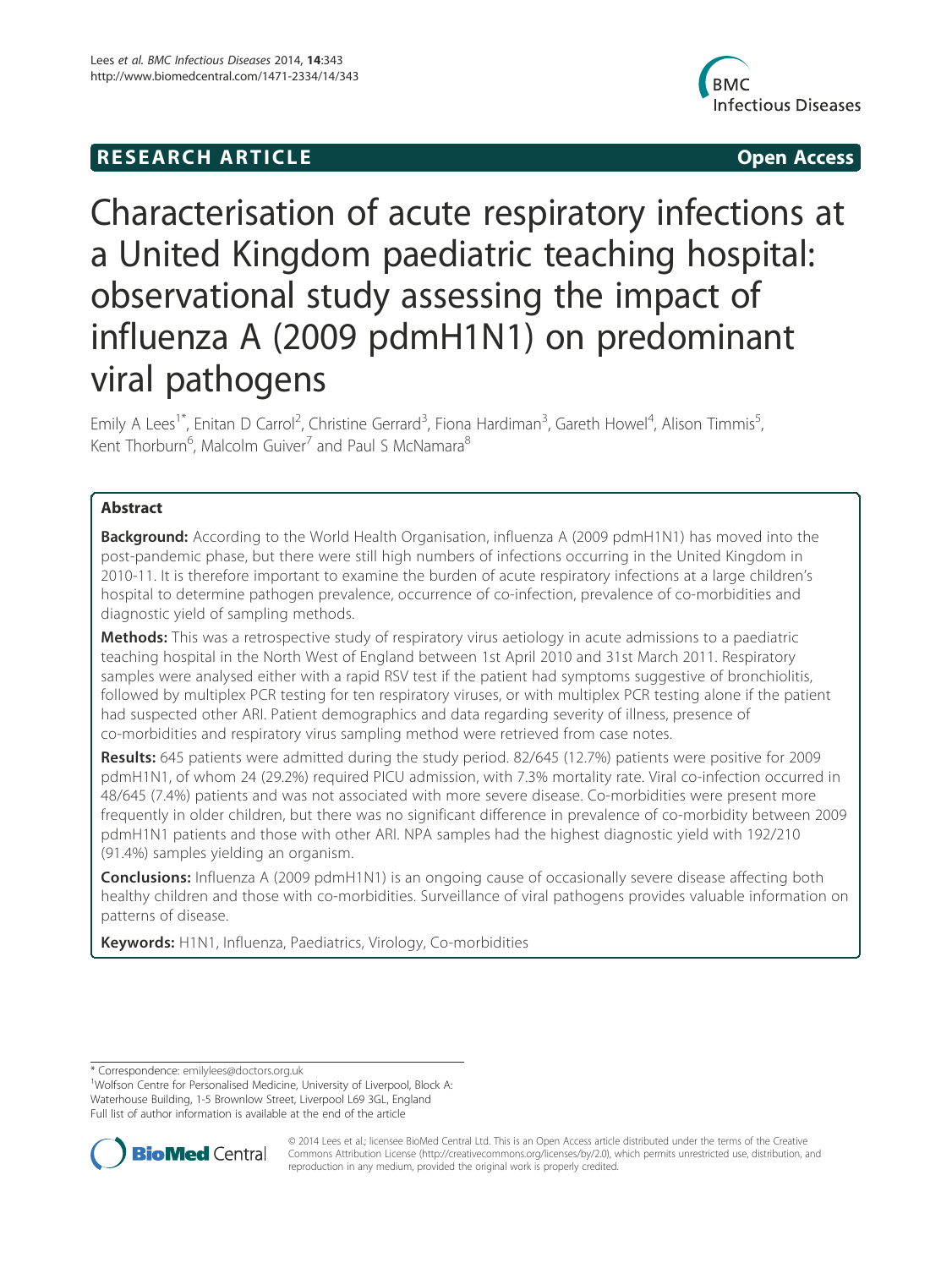## **RESEARCH ARTICLE CONSUMING A RESEARCH ARTICLE**



# Characterisation of acute respiratory infections at a United Kingdom paediatric teaching hospital: observational study assessing the impact of influenza A (2009 pdmH1N1) on predominant viral pathogens

Emily A Lees<sup>1\*</sup>, Enitan D Carrol<sup>2</sup>, Christine Gerrard<sup>3</sup>, Fiona Hardiman<sup>3</sup>, Gareth Howel<sup>4</sup>, Alison Timmis<sup>5</sup> , Kent Thorburn<sup>6</sup>, Malcolm Guiver<sup>7</sup> and Paul S McNamara<sup>8</sup>

### Abstract

Background: According to the World Health Organisation, influenza A (2009 pdmH1N1) has moved into the post-pandemic phase, but there were still high numbers of infections occurring in the United Kingdom in 2010-11. It is therefore important to examine the burden of acute respiratory infections at a large children's hospital to determine pathogen prevalence, occurrence of co-infection, prevalence of co-morbidities and diagnostic yield of sampling methods.

Methods: This was a retrospective study of respiratory virus aetiology in acute admissions to a paediatric teaching hospital in the North West of England between 1st April 2010 and 31st March 2011. Respiratory samples were analysed either with a rapid RSV test if the patient had symptoms suggestive of bronchiolitis, followed by multiplex PCR testing for ten respiratory viruses, or with multiplex PCR testing alone if the patient had suspected other ARI. Patient demographics and data regarding severity of illness, presence of co-morbidities and respiratory virus sampling method were retrieved from case notes.

Results: 645 patients were admitted during the study period. 82/645 (12.7%) patients were positive for 2009 pdmH1N1, of whom 24 (29.2%) required PICU admission, with 7.3% mortality rate. Viral co-infection occurred in 48/645 (7.4%) patients and was not associated with more severe disease. Co-morbidities were present more frequently in older children, but there was no significant difference in prevalence of co-morbidity between 2009 pdmH1N1 patients and those with other ARI. NPA samples had the highest diagnostic yield with 192/210 (91.4%) samples yielding an organism.

**Conclusions:** Influenza A (2009 pdmH1N1) is an ongoing cause of occasionally severe disease affecting both healthy children and those with co-morbidities. Surveillance of viral pathogens provides valuable information on patterns of disease.

Keywords: H1N1, Influenza, Paediatrics, Virology, Co-morbidities

<sup>&</sup>lt;sup>1</sup>Wolfson Centre for Personalised Medicine, University of Liverpool, Block A: Waterhouse Building, 1-5 Brownlow Street, Liverpool L69 3GL, England Full list of author information is available at the end of the article



© 2014 Lees et al.; licensee BioMed Central Ltd. This is an Open Access article distributed under the terms of the Creative Commons Attribution License (http://creativecommons.org/licenses/by/2.0), which permits unrestricted use, distribution, and reproduction in any medium, provided the original work is properly credited.

<sup>\*</sup> Correspondence: emilylees@doctors.org.uk <sup>1</sup>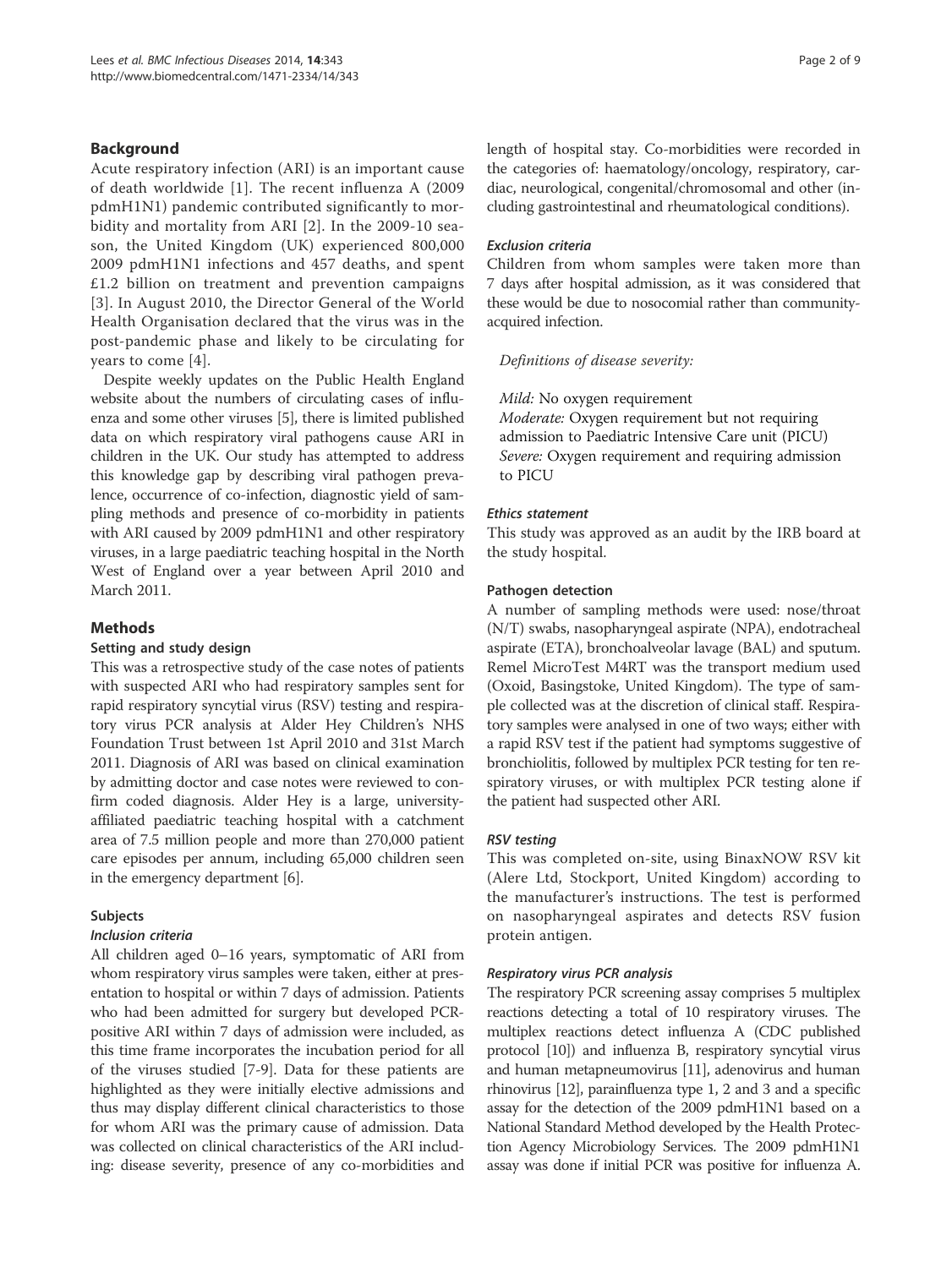### **Background**

Acute respiratory infection (ARI) is an important cause of death worldwide [1]. The recent influenza A (2009 pdmH1N1) pandemic contributed significantly to morbidity and mortality from ARI [2]. In the 2009-10 season, the United Kingdom (UK) experienced 800,000 2009 pdmH1N1 infections and 457 deaths, and spent £1.2 billion on treatment and prevention campaigns [3]. In August 2010, the Director General of the World Health Organisation declared that the virus was in the post-pandemic phase and likely to be circulating for years to come [4].

Despite weekly updates on the Public Health England website about the numbers of circulating cases of influenza and some other viruses [5], there is limited published data on which respiratory viral pathogens cause ARI in children in the UK. Our study has attempted to address this knowledge gap by describing viral pathogen prevalence, occurrence of co-infection, diagnostic yield of sampling methods and presence of co-morbidity in patients with ARI caused by 2009 pdmH1N1 and other respiratory viruses, in a large paediatric teaching hospital in the North West of England over a year between April 2010 and March 2011.

### Methods

#### Setting and study design

This was a retrospective study of the case notes of patients with suspected ARI who had respiratory samples sent for rapid respiratory syncytial virus (RSV) testing and respiratory virus PCR analysis at Alder Hey Children's NHS Foundation Trust between 1st April 2010 and 31st March 2011. Diagnosis of ARI was based on clinical examination by admitting doctor and case notes were reviewed to confirm coded diagnosis. Alder Hey is a large, universityaffiliated paediatric teaching hospital with a catchment area of 7.5 million people and more than 270,000 patient care episodes per annum, including 65,000 children seen in the emergency department [6].

#### Subjects

All children aged 0-16 years, symptomatic of ARI from whom respiratory virus samples were taken, either at presentation to hospital or within 7 days of admission. Patients who had been admitted for surgery but developed PCRpositive ARI within 7 days of admission were included, as this time frame incorporates the incubation period for all of the viruses studied [7-9]. Data for these patients are highlighted as they were initially elective admissions and thus may display different clinical characteristics to those for whom ARI was the primary cause of admission. Data was collected on clinical characteristics of the ARI including: disease severity, presence of any co-morbidities and length of hospital stay. Co-morbidities were recorded in the categories of: haematology/oncology, respiratory, cardiac, neurological, congenital/chromosomal and other (including gastrointestinal and rheumatological conditions).

Children from whom samples were taken more than 7 days after hospital admission, as it was considered that these would be due to nosocomial rather than communityacquired infection.

#### Definitions of disease severity:

Mild: No oxygen requirement

Moderate: Oxygen requirement but not requiring admission to Paediatric Intensive Care unit (PICU) Severe: Oxygen requirement and requiring admission to PICU

#### **Ethics statement**

This study was approved as an audit by the IRB board at the study hospital.

#### Pathogen detection

A number of sampling methods were used: nose/throat (N/T) swabs, nasopharyngeal aspirate (NPA), endotracheal aspirate (ETA), bronchoalveolar lavage (BAL) and sputum. Remel MicroTest M4RT was the transport medium used (Oxoid, Basingstoke, United Kingdom). The type of sample collected was at the discretion of clinical staff. Respiratory samples were analysed in one of two ways; either with a rapid RSV test if the patient had symptoms suggestive of bronchiolitis, followed by multiplex PCR testing for ten respiratory viruses, or with multiplex PCR testing alone if the patient had suspected other ARI.

This was completed on-site, using BinaxNOW RSV kit (Alere Ltd, Stockport, United Kingdom) according to the manufacturer's instructions. The test is performed on nasopharyngeal aspirates and detects RSV fusion protein antigen.

The respiratory PCR screening assay comprises 5 multiplex reactions detecting a total of 10 respiratory viruses. The multiplex reactions detect influenza A (CDC published protocol [10]) and influenza B, respiratory syncytial virus and human metapneumovirus [11], adenovirus and human rhinovirus [12], parainfluenza type 1, 2 and 3 and a specific assay for the detection of the 2009 pdmH1N1 based on a National Standard Method developed by the Health Protection Agency Microbiology Services. The 2009 pdmH1N1 assay was done if initial PCR was positive for influenza A.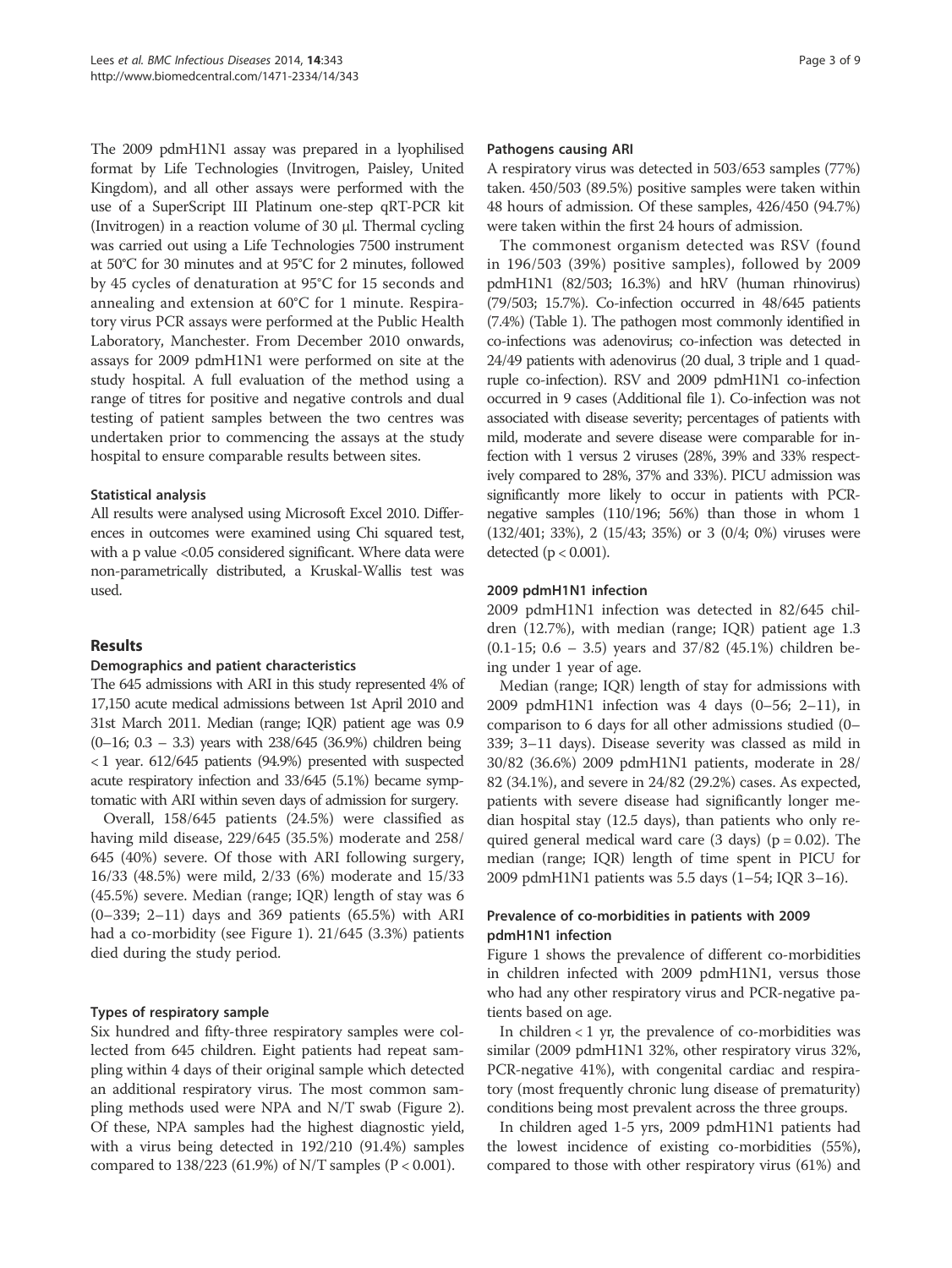The 2009 pdmH1N1 assay was prepared in a lyophilised format by Life Technologies (Invitrogen, Paisley, United Kingdom), and all other assays were performed with the use of a SuperScript III Platinum one-step qRT-PCR kit (Invitrogen) in a reaction volume of 30 μl. Thermal cycling was carried out using a Life Technologies 7500 instrument at 50°C for 30 minutes and at 95°C for 2 minutes, followed by 45 cycles of denaturation at 95°C for 15 seconds and annealing and extension at 60°C for 1 minute. Respiratory virus PCR assays were performed at the Public Health Laboratory, Manchester. From December 2010 onwards, assays for 2009 pdmH1N1 were performed on site at the study hospital. A full evaluation of the method using a range of titres for positive and negative controls and dual testing of patient samples between the two centres was undertaken prior to commencing the assays at the study hospital to ensure comparable results between sites.

#### Statistical analysis

All results were analysed using Microsoft Excel 2010. Differences in outcomes were examined using Chi squared test, with a p value <0.05 considered significant. Where data were non-parametrically distributed, a Kruskal-Wallis test was used.

#### Results

#### Demographics and patient characteristics

The 645 admissions with ARI in this study represented 4% of 17,150 acute medical admissions between 1st April 2010 and 31st March 2011. Median (range; IQR) patient age was 0.9 (0–16; 0.3 – 3.3) years with 238/645 (36.9%) children being < 1 year. 612/645 patients (94.9%) presented with suspected acute respiratory infection and 33/645 (5.1%) became symptomatic with ARI within seven days of admission for surgery.

Overall, 158/645 patients (24.5%) were classified as having mild disease, 229/645 (35.5%) moderate and 258/ 645 (40%) severe. Of those with ARI following surgery, 16/33 (48.5%) were mild, 2/33 (6%) moderate and 15/33 (45.5%) severe. Median (range; IQR) length of stay was 6 (0–339; 2–11) days and 369 patients (65.5%) with ARI had a co-morbidity (see Figure 1). 21/645 (3.3%) patients died during the study period.

#### Types of respiratory sample

Six hundred and fifty-three respiratory samples were collected from 645 children. Eight patients had repeat sampling within 4 days of their original sample which detected an additional respiratory virus. The most common sampling methods used were NPA and N/T swab (Figure 2). Of these, NPA samples had the highest diagnostic yield, with a virus being detected in 192/210 (91.4%) samples compared to  $138/223$  (61.9%) of N/T samples (P < 0.001).

#### Pathogens causing ARI

A respiratory virus was detected in 503/653 samples (77%) taken. 450/503 (89.5%) positive samples were taken within 48 hours of admission. Of these samples, 426/450 (94.7%) were taken within the first 24 hours of admission.

The commonest organism detected was RSV (found in 196/503 (39%) positive samples), followed by 2009 pdmH1N1 (82/503; 16.3%) and hRV (human rhinovirus) (79/503; 15.7%). Co-infection occurred in 48/645 patients (7.4%) (Table 1). The pathogen most commonly identified in co-infections was adenovirus; co-infection was detected in 24/49 patients with adenovirus (20 dual, 3 triple and 1 quadruple co-infection). RSV and 2009 pdmH1N1 co-infection occurred in 9 cases (Additional file 1). Co-infection was not associated with disease severity; percentages of patients with mild, moderate and severe disease were comparable for infection with 1 versus 2 viruses (28%, 39% and 33% respectively compared to 28%, 37% and 33%). PICU admission was significantly more likely to occur in patients with PCRnegative samples (110/196; 56%) than those in whom 1 (132/401; 33%), 2 (15/43; 35%) or 3 (0/4; 0%) viruses were detected ( $p < 0.001$ ).

#### 2009 pdmH1N1 infection

2009 pdmH1N1 infection was detected in 82/645 children (12.7%), with median (range; IQR) patient age 1.3 (0.1-15; 0.6 – 3.5) years and 37/82 (45.1%) children being under 1 year of age.

Median (range; IQR) length of stay for admissions with 2009 pdmH1N1 infection was 4 days (0–56; 2–11), in comparison to 6 days for all other admissions studied (0– 339; 3–11 days). Disease severity was classed as mild in 30/82 (36.6%) 2009 pdmH1N1 patients, moderate in 28/ 82 (34.1%), and severe in 24/82 (29.2%) cases. As expected, patients with severe disease had significantly longer median hospital stay (12.5 days), than patients who only required general medical ward care  $(3 \text{ days})$   $(p = 0.02)$ . The median (range; IQR) length of time spent in PICU for 2009 pdmH1N1 patients was 5.5 days (1–54; IQR 3–16).

#### Prevalence of co-morbidities in patients with 2009 pdmH1N1 infection

Figure 1 shows the prevalence of different co-morbidities in children infected with 2009 pdmH1N1, versus those who had any other respiratory virus and PCR-negative patients based on age.

In children  $< 1$  yr, the prevalence of co-morbidities was similar (2009 pdmH1N1 32%, other respiratory virus 32%, PCR-negative 41%), with congenital cardiac and respiratory (most frequently chronic lung disease of prematurity) conditions being most prevalent across the three groups.

In children aged 1-5 yrs, 2009 pdmH1N1 patients had the lowest incidence of existing co-morbidities (55%), compared to those with other respiratory virus (61%) and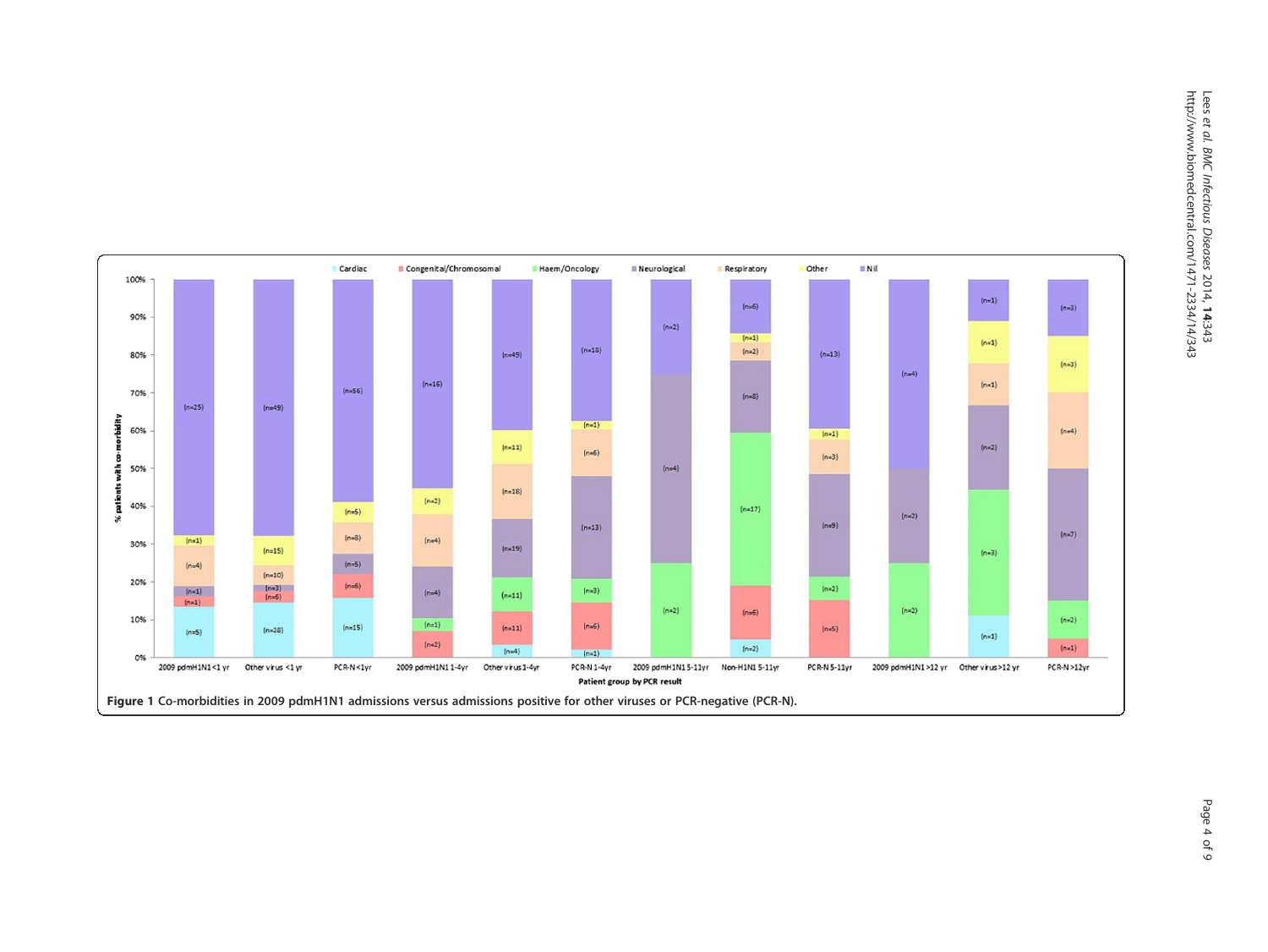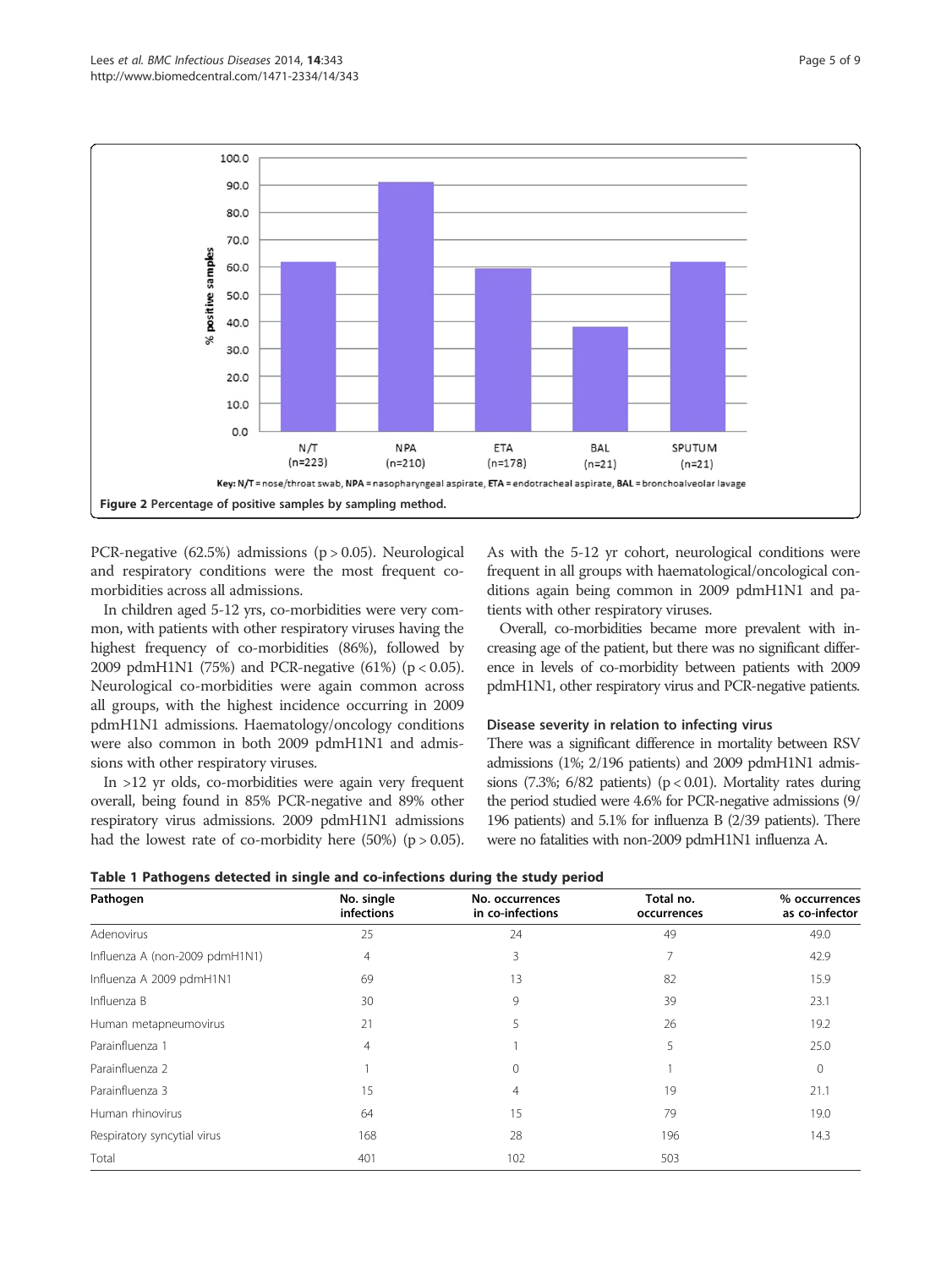

PCR-negative  $(62.5\%)$  admissions  $(p > 0.05)$ . Neurological and respiratory conditions were the most frequent comorbidities across all admissions.

In children aged 5-12 yrs, co-morbidities were very common, with patients with other respiratory viruses having the highest frequency of co-morbidities (86%), followed by 2009 pdmH1N1 (75%) and PCR-negative (61%) (p < 0.05). Neurological co-morbidities were again common across all groups, with the highest incidence occurring in 2009 pdmH1N1 admissions. Haematology/oncology conditions were also common in both 2009 pdmH1N1 and admissions with other respiratory viruses.

In >12 yr olds, co-morbidities were again very frequent overall, being found in 85% PCR-negative and 89% other respiratory virus admissions. 2009 pdmH1N1 admissions had the lowest rate of co-morbidity here  $(50\%)$  (p  $> 0.05$ ). As with the 5-12 yr cohort, neurological conditions were frequent in all groups with haematological/oncological conditions again being common in 2009 pdmH1N1 and patients with other respiratory viruses.

Overall, co-morbidities became more prevalent with increasing age of the patient, but there was no significant difference in levels of co-morbidity between patients with 2009 pdmH1N1, other respiratory virus and PCR-negative patients.

#### Disease severity in relation to infecting virus

There was a significant difference in mortality between RSV admissions (1%; 2/196 patients) and 2009 pdmH1N1 admissions (7.3%;  $6/82$  patients) ( $p < 0.01$ ). Mortality rates during the period studied were 4.6% for PCR-negative admissions (9/ 196 patients) and 5.1% for influenza B (2/39 patients). There were no fatalities with non-2009 pdmH1N1 influenza A.

Table 1 Pathogens detected in single and co-infections during the study period

| Pathogen                       | No. single<br>infections | No. occurrences<br>in co-infections | Total no.<br>occurrences | % occurrences<br>as co-infector |
|--------------------------------|--------------------------|-------------------------------------|--------------------------|---------------------------------|
| Adenovirus                     | 25                       | 24                                  | 49                       | 49.0                            |
| Influenza A (non-2009 pdmH1N1) | 4                        | 3                                   | 7                        | 42.9                            |
| Influenza A 2009 pdmH1N1       | 69                       | 13                                  | 82                       | 15.9                            |
| Influenza B                    | 30                       | 9                                   | 39                       | 23.1                            |
| Human metapneumovirus          | 21                       | 5                                   | 26                       | 19.2                            |
| Parainfluenza 1                | 4                        |                                     | 5                        | 25.0                            |
| Parainfluenza 2                |                          | $\Omega$                            |                          | $\Omega$                        |
| Parainfluenza 3                | 15                       | 4                                   | 19                       | 21.1                            |
| Human rhinovirus               | 64                       | 15                                  | 79                       | 19.0                            |
| Respiratory syncytial virus    | 168                      | 28                                  | 196                      | 14.3                            |
| Total                          | 401                      | 102                                 | 503                      |                                 |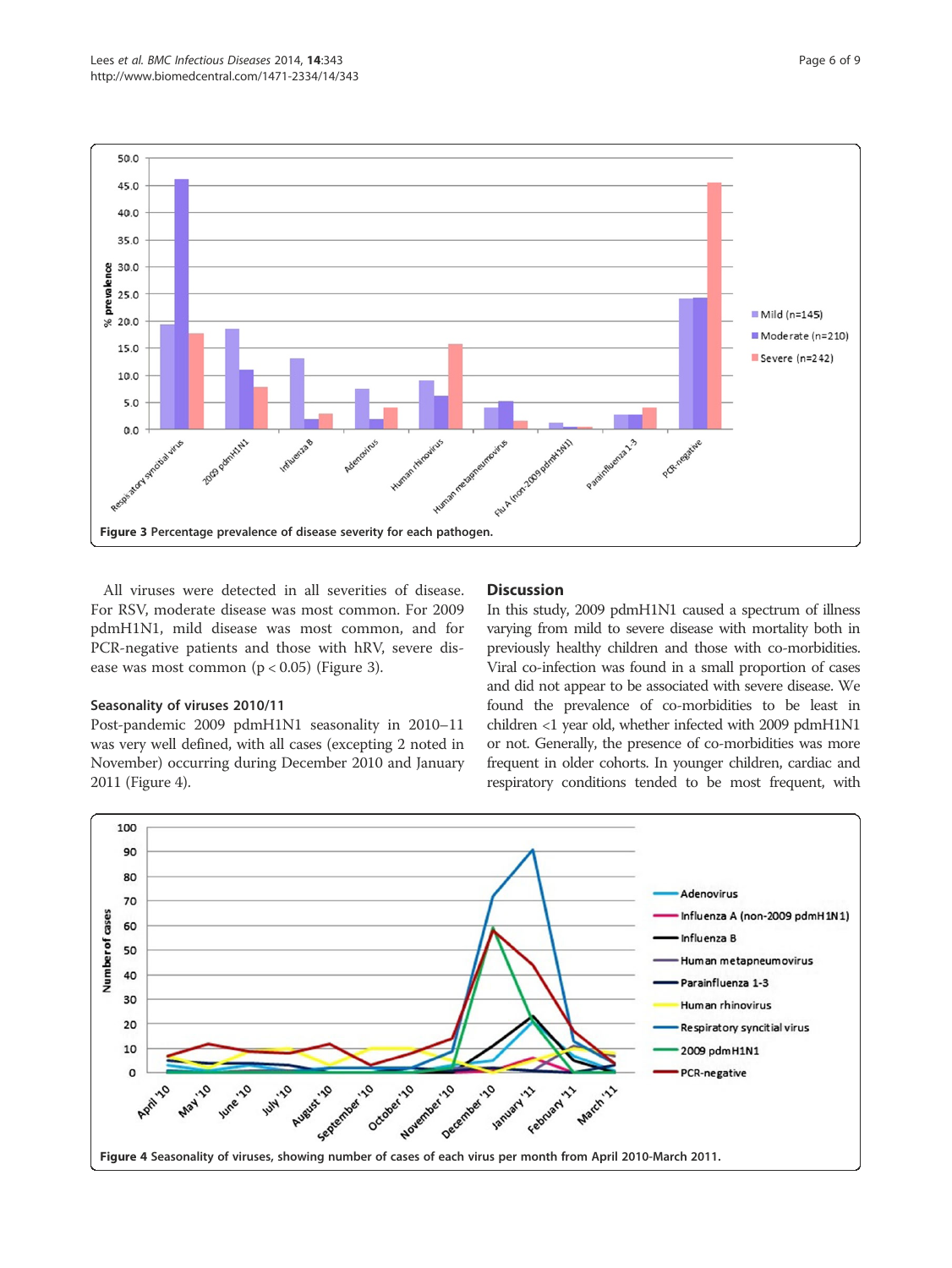

All viruses were detected in all severities of disease. For RSV, moderate disease was most common. For 2009 pdmH1N1, mild disease was most common, and for PCR-negative patients and those with hRV, severe disease was most common  $(p < 0.05)$  (Figure 3).

#### Seasonality of viruses 2010/11

Post-pandemic 2009 pdmH1N1 seasonality in 2010–11 was very well defined, with all cases (excepting 2 noted in November) occurring during December 2010 and January 2011 (Figure 4).

### **Discussion**

In this study, 2009 pdmH1N1 caused a spectrum of illness varying from mild to severe disease with mortality both in previously healthy children and those with co-morbidities. Viral co-infection was found in a small proportion of cases and did not appear to be associated with severe disease. We found the prevalence of co-morbidities to be least in children <1 year old, whether infected with 2009 pdmH1N1 or not. Generally, the presence of co-morbidities was more frequent in older cohorts. In younger children, cardiac and respiratory conditions tended to be most frequent, with

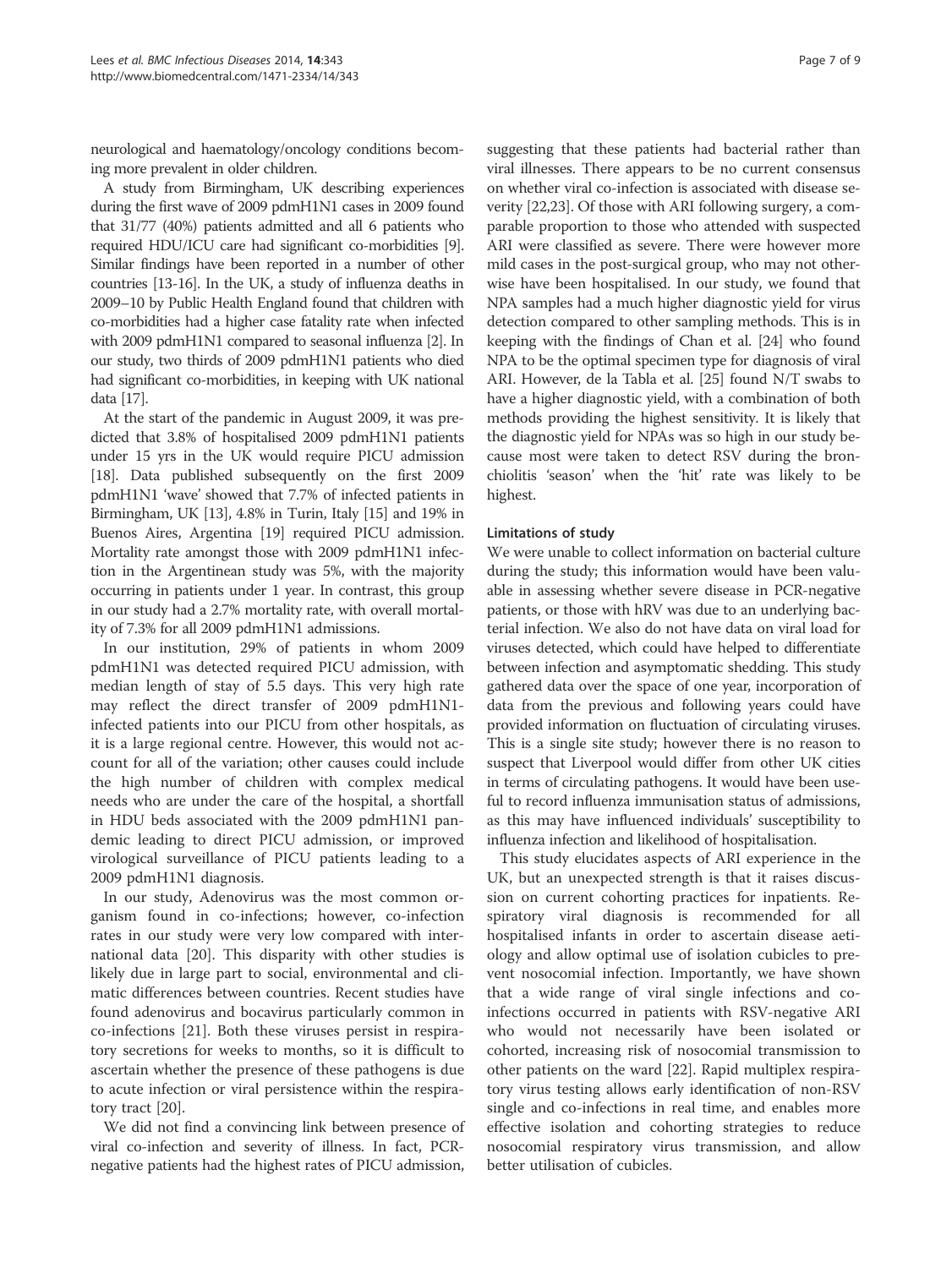neurological and haematology/oncology conditions becoming more prevalent in older children.

A study from Birmingham, UK describing experiences during the first wave of 2009 pdmH1N1 cases in 2009 found that 31/77 (40%) patients admitted and all 6 patients who required HDU/ICU care had significant co-morbidities [9]. Similar findings have been reported in a number of other countries [13-16]. In the UK, a study of influenza deaths in 2009–10 by Public Health England found that children with co-morbidities had a higher case fatality rate when infected with 2009 pdmH1N1 compared to seasonal influenza [2]. In our study, two thirds of 2009 pdmH1N1 patients who died had significant co-morbidities, in keeping with UK national data [17].

At the start of the pandemic in August 2009, it was predicted that 3.8% of hospitalised 2009 pdmH1N1 patients under 15 yrs in the UK would require PICU admission [18]. Data published subsequently on the first 2009 pdmH1N1 'wave' showed that 7.7% of infected patients in Birmingham, UK [13], 4.8% in Turin, Italy [15] and 19% in Buenos Aires, Argentina [19] required PICU admission. Mortality rate amongst those with 2009 pdmH1N1 infection in the Argentinean study was 5%, with the majority occurring in patients under 1 year. In contrast, this group in our study had a 2.7% mortality rate, with overall mortality of 7.3% for all 2009 pdmH1N1 admissions.

In our institution, 29% of patients in whom 2009 pdmH1N1 was detected required PICU admission, with median length of stay of 5.5 days. This very high rate may reflect the direct transfer of 2009 pdmH1N1 infected patients into our PICU from other hospitals, as it is a large regional centre. However, this would not account for all of the variation; other causes could include the high number of children with complex medical needs who are under the care of the hospital, a shortfall in HDU beds associated with the 2009 pdmH1N1 pandemic leading to direct PICU admission, or improved virological surveillance of PICU patients leading to a 2009 pdmH1N1 diagnosis.

In our study, Adenovirus was the most common organism found in co-infections; however, co-infection rates in our study were very low compared with international data [20]. This disparity with other studies is likely due in large part to social, environmental and climatic differences between countries. Recent studies have found adenovirus and bocavirus particularly common in co-infections [21]. Both these viruses persist in respiratory secretions for weeks to months, so it is difficult to ascertain whether the presence of these pathogens is due to acute infection or viral persistence within the respiratory tract [20].

We did not find a convincing link between presence of viral co-infection and severity of illness. In fact, PCRnegative patients had the highest rates of PICU admission,

suggesting that these patients had bacterial rather than viral illnesses. There appears to be no current consensus on whether viral co-infection is associated with disease severity [22,23]. Of those with ARI following surgery, a comparable proportion to those who attended with suspected ARI were classified as severe. There were however more mild cases in the post-surgical group, who may not otherwise have been hospitalised. In our study, we found that NPA samples had a much higher diagnostic yield for virus detection compared to other sampling methods. This is in keeping with the findings of Chan et al. [24] who found NPA to be the optimal specimen type for diagnosis of viral ARI. However, de la Tabla et al. [25] found N/T swabs to have a higher diagnostic yield, with a combination of both methods providing the highest sensitivity. It is likely that the diagnostic yield for NPAs was so high in our study because most were taken to detect RSV during the bronchiolitis 'season' when the 'hit' rate was likely to be highest.

#### Limitations of study

We were unable to collect information on bacterial culture during the study; this information would have been valuable in assessing whether severe disease in PCR-negative patients, or those with hRV was due to an underlying bacterial infection. We also do not have data on viral load for viruses detected, which could have helped to differentiate between infection and asymptomatic shedding. This study gathered data over the space of one year, incorporation of data from the previous and following years could have provided information on fluctuation of circulating viruses. This is a single site study; however there is no reason to suspect that Liverpool would differ from other UK cities in terms of circulating pathogens. It would have been useful to record influenza immunisation status of admissions, as this may have influenced individuals' susceptibility to influenza infection and likelihood of hospitalisation.

This study elucidates aspects of ARI experience in the UK, but an unexpected strength is that it raises discussion on current cohorting practices for inpatients. Respiratory viral diagnosis is recommended for all hospitalised infants in order to ascertain disease aetiology and allow optimal use of isolation cubicles to prevent nosocomial infection. Importantly, we have shown that a wide range of viral single infections and coinfections occurred in patients with RSV-negative ARI who would not necessarily have been isolated or cohorted, increasing risk of nosocomial transmission to other patients on the ward [22]. Rapid multiplex respiratory virus testing allows early identification of non-RSV single and co-infections in real time, and enables more effective isolation and cohorting strategies to reduce nosocomial respiratory virus transmission, and allow better utilisation of cubicles.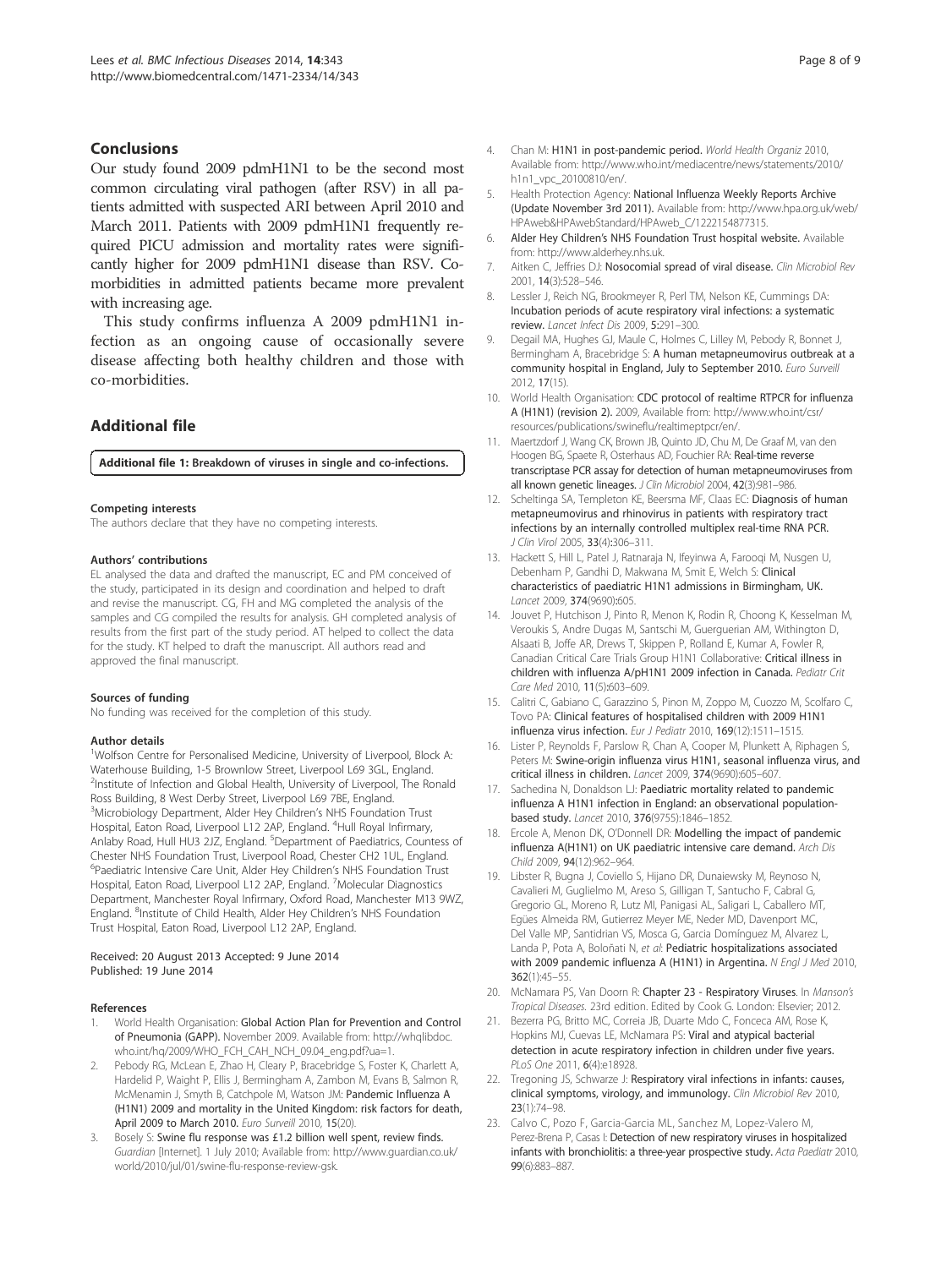#### Conclusions

Our study found 2009 pdmH1N1 to be the second most common circulating viral pathogen (after RSV) in all patients admitted with suspected ARI between April 2010 and March 2011. Patients with 2009 pdmH1N1 frequently required PICU admission and mortality rates were significantly higher for 2009 pdmH1N1 disease than RSV. Comorbidities in admitted patients became more prevalent with increasing age.

This study confirms influenza A 2009 pdmH1N1 infection as an ongoing cause of occasionally severe disease affecting both healthy children and those with co-morbidities.

### Additional file

#### Additional file 1: Breakdown of viruses in single and co-infections.

#### Competing interests

The authors declare that they have no competing interests.

#### Authors' contributions

EL analysed the data and drafted the manuscript, EC and PM conceived of the study, participated in its design and coordination and helped to draft and revise the manuscript. CG, FH and MG completed the analysis of the samples and CG compiled the results for analysis. GH completed analysis of results from the first part of the study period. AT helped to collect the data for the study. KT helped to draft the manuscript. All authors read and approved the final manuscript.

#### Sources of funding

No funding was received for the completion of this study.

#### Author details

<sup>1</sup>Wolfson Centre for Personalised Medicine, University of Liverpool, Block A: Waterhouse Building, 1-5 Brownlow Street, Liverpool L69 3GL, England. <sup>2</sup>Institute of Infection and Global Health, University of Liverpool, The Ronald Ross Building, 8 West Derby Street, Liverpool L69 7BE, England. <sup>3</sup>Microbiology Department, Alder Hey Children's NHS Foundation Trust Hospital, Eaton Road, Liverpool L12 2AP, England. <sup>4</sup>Hull Royal Infirmary, Anlaby Road, Hull HU3 2JZ, England. <sup>5</sup>Department of Paediatrics, Countess of Chester NHS Foundation Trust, Liverpool Road, Chester CH2 1UL, England. <sup>6</sup>Paediatric Intensive Care Unit, Alder Hey Children's NHS Foundation Trust Hospital, Eaton Road, Liverpool L12 2AP, England. <sup>7</sup>Molecular Diagnostics Department, Manchester Royal Infirmary, Oxford Road, Manchester M13 9WZ, England. <sup>8</sup>Institute of Child Health, Alder Hey Children's NHS Foundation Trust Hospital, Eaton Road, Liverpool L12 2AP, England.

#### Received: 20 August 2013 Accepted: 9 June 2014 Published: 19 June 2014

#### References

- 1. World Health Organisation: Global Action Plan for Prevention and Control of Pneumonia (GAPP). November 2009. Available from: http://whqlibdoc. who.int/hq/2009/WHO\_FCH\_CAH\_NCH\_09.04\_eng.pdf?ua=1.
- 2. Pebody RG, McLean E, Zhao H, Cleary P, Bracebridge S, Foster K, Charlett A, Hardelid P, Waight P, Ellis J, Bermingham A, Zambon M, Evans B, Salmon R, McMenamin J, Smyth B, Catchpole M, Watson JM: Pandemic Influenza A (H1N1) 2009 and mortality in the United Kingdom: risk factors for death, April 2009 to March 2010. Euro Surveill 2010, 15(20).
- Bosely S: Swine flu response was £1.2 billion well spent, review finds. Guardian [Internet]. 1 July 2010; Available from: http://www.guardian.co.uk/ world/2010/jul/01/swine-flu-response-review-gsk.
- 4. Chan M: H1N1 in post-pandemic period. World Health Organiz 2010, Available from: http://www.who.int/mediacentre/news/statements/2010/ h1n1\_vpc\_20100810/en/.
- Health Protection Agency: National Influenza Weekly Reports Archive (Update November 3rd 2011). Available from: http://www.hpa.org.uk/web/ HPAweb&HPAwebStandard/HPAweb\_C/1222154877315.
- 6. Alder Hey Children's NHS Foundation Trust hospital website. Available from: http://www.alderhey.nhs.uk.
- 7. Aitken C, Jeffries DJ: Nosocomial spread of viral disease. Clin Microbiol Rev 2001, 14(3):528–546.
- 8. Lessler J, Reich NG, Brookmeyer R, Perl TM, Nelson KE, Cummings DA: Incubation periods of acute respiratory viral infections: a systematic review. Lancet Infect Dis 2009, 5:291–300.
- 9. Degail MA, Hughes GJ, Maule C, Holmes C, Lilley M, Pebody R, Bonnet J, Bermingham A, Bracebridge S: A human metapneumovirus outbreak at a community hospital in England, July to September 2010. Euro Surveill 2012, 17(15).
- 10. World Health Organisation: CDC protocol of realtime RTPCR for influenza A (H1N1) (revision 2). 2009, Available from: http://www.who.int/csr/ resources/publications/swineflu/realtimeptpcr/en/.
- 11. Maertzdorf J, Wang CK, Brown JB, Quinto JD, Chu M, De Graaf M, van den Hoogen BG, Spaete R, Osterhaus AD, Fouchier RA: Real-time reverse transcriptase PCR assay for detection of human metapneumoviruses from all known genetic lineages. J Clin Microbiol 2004, 42(3):981-986.
- 12. Scheltinga SA, Templeton KE, Beersma MF, Claas EC: Diagnosis of human metapneumovirus and rhinovirus in patients with respiratory tract infections by an internally controlled multiplex real-time RNA PCR. J Clin Virol 2005, 33(4):306–311.
- 13. Hackett S, Hill L, Patel J, Ratnaraja N, Ifeyinwa A, Farooqi M, Nusgen U, Debenham P, Gandhi D, Makwana M, Smit E, Welch S: Clinical characteristics of paediatric H1N1 admissions in Birmingham, UK. Lancet 2009, 374(9690):605.
- 14. Jouvet P, Hutchison J, Pinto R, Menon K, Rodin R, Choong K, Kesselman M, Veroukis S, Andre Dugas M, Santschi M, Guerguerian AM, Withington D, Alsaati B, Joffe AR, Drews T, Skippen P, Rolland E, Kumar A, Fowler R, Canadian Critical Care Trials Group H1N1 Collaborative: Critical illness in children with influenza A/pH1N1 2009 infection in Canada. Pediatr Crit Care Med 2010, 11(5):603–609.
- 15. Calitri C, Gabiano C, Garazzino S, Pinon M, Zoppo M, Cuozzo M, Scolfaro C, Tovo PA: Clinical features of hospitalised children with 2009 H1N1 influenza virus infection. Eur J Pediatr 2010, 169(12):1511–1515.
- 16. Lister P, Reynolds F, Parslow R, Chan A, Cooper M, Plunkett A, Riphagen S, Peters M: Swine-origin influenza virus H1N1, seasonal influenza virus, and critical illness in children. Lancet 2009, 374(9690):605–607.
- 17. Sachedina N, Donaldson LJ: Paediatric mortality related to pandemic influenza A H1N1 infection in England: an observational populationbased study. Lancet 2010, 376(9755):1846–1852.
- 18. Ercole A, Menon DK, O'Donnell DR: Modelling the impact of pandemic influenza A(H1N1) on UK paediatric intensive care demand. Arch Dis Child 2009, 94(12):962–964.
- 19. Libster R, Bugna J, Coviello S, Hijano DR, Dunaiewsky M, Reynoso N, Cavalieri M, Guglielmo M, Areso S, Gilligan T, Santucho F, Cabral G, Gregorio GL, Moreno R, Lutz MI, Panigasi AL, Saligari L, Caballero MT, Egües Almeida RM, Gutierrez Meyer ME, Neder MD, Davenport MC, Del Valle MP, Santidrian VS, Mosca G, Garcia Domínguez M, Alvarez L, Landa P, Pota A, Boloñati N, et al: Pediatric hospitalizations associated with 2009 pandemic influenza A (H1N1) in Argentina. N Engl J Med 2010, 362(1):45–55.
- 20. McNamara PS, Van Doorn R: Chapter 23 Respiratory Viruses. In Manson's Tropical Diseases. 23rd edition. Edited by Cook G. London: Elsevier; 2012.
- 21. Bezerra PG, Britto MC, Correia JB, Duarte Mdo C, Fonceca AM, Rose K, Hopkins MJ, Cuevas LE, McNamara PS: Viral and atypical bacterial detection in acute respiratory infection in children under five years. PLoS One 2011, 6(4):e18928.
- 22. Tregoning JS, Schwarze J: Respiratory viral infections in infants: causes, clinical symptoms, virology, and immunology. Clin Microbiol Rev 2010, 23(1):74–98.
- 23. Calvo C, Pozo F, Garcia-Garcia ML, Sanchez M, Lopez-Valero M, Perez-Brena P, Casas I: Detection of new respiratory viruses in hospitalized infants with bronchiolitis: a three-year prospective study. Acta Paediatr 2010, 99(6):883–887.